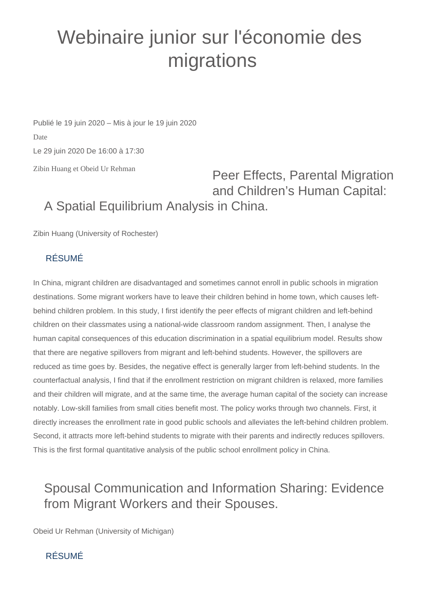# Webinaire junior sur l'économie des migrations

Zibin Huang et Obeid Ur Rehman Publié le 19 juin 2020 – Mis à jour le 19 juin 2020 Date Le 29 juin 2020 De 16:00 à 17:30

Peer Effects, Parental Migration and Children's Human Capital: A Spatial Equilibrium Analysis in China.

Zibin Huang (University of Rochester)

#### RÉSUMÉ

In China, migrant children are disadvantaged and sometimes cannot enroll in public schools in migration destinations. Some migrant workers have to leave their children behind in home town, which causes leftbehind children problem. In this study, I first identify the peer effects of migrant children and left-behind children on their classmates using a national-wide classroom random assignment. Then, I analyse the human capital consequences of this education discrimination in a spatial equilibrium model. Results show that there are negative spillovers from migrant and left-behind students. However, the spillovers are reduced as time goes by. Besides, the negative effect is generally larger from left-behind students. In the counterfactual analysis, I find that if the enrollment restriction on migrant children is relaxed, more families and their children will migrate, and at the same time, the average human capital of the society can increase notably. Low-skill families from small cities benefit most. The policy works through two channels. First, it directly increases the enrollment rate in good public schools and alleviates the left-behind children problem. Second, it attracts more left-behind students to migrate with their parents and indirectly reduces spillovers. This is the first formal quantitative analysis of the public school enrollment policy in China.

# Spousal Communication and Information Sharing: Evidence from Migrant Workers and their Spouses.

Obeid Ur Rehman (University of Michigan)

## RÉSUMÉ